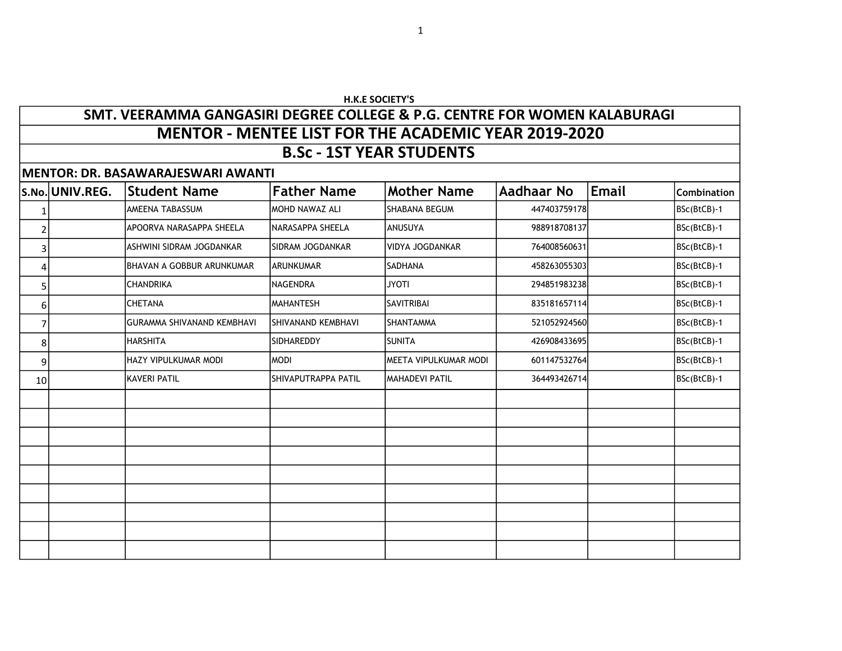## H.K.E SOCIETY'S

## SMT. VEERAMMA GANGASIRI DEGREE COLLEGE & P.G. CENTRE FOR WOMEN KALABURAGI B.Sc - 1ST YEAR STUDENTS MENTOR - MENTEE LIST FOR THE ACADEMIC YEAR 2019-2020

MENTOR: DR. BASAWARAJES WARRANTIES WARRANTIES

|    | IMENTOR: DR. BASAWARAJESWARI AWANTI |                                   |                         |                        |              |              |             |  |  |  |
|----|-------------------------------------|-----------------------------------|-------------------------|------------------------|--------------|--------------|-------------|--|--|--|
|    | S.No. UNIV.REG.                     | <b>Student Name</b>               | <b>Father Name</b>      | <b>Mother Name</b>     | Aadhaar No   | <b>Email</b> | Combination |  |  |  |
| 1  |                                     | <b>AMEENA TABASSUM</b>            | <b>MOHD NAWAZ ALI</b>   | SHABANA BEGUM          | 447403759178 |              | BSc(BtCB)-1 |  |  |  |
| 2  |                                     | APOORVA NARASAPPA SHEELA          | NARASAPPA SHEELA        | ANUSUYA                | 988918708137 |              | BSc(BtCB)-1 |  |  |  |
| 3  |                                     | ASHWINI SIDRAM JOGDANKAR          | <b>SIDRAM JOGDANKAR</b> | <b>VIDYA JOGDANKAR</b> | 764008560631 |              | BSc(BtCB)-1 |  |  |  |
| 4  |                                     | <b>BHAVAN A GOBBUR ARUNKUMAR</b>  | <b>ARUNKUMAR</b>        | ISADHANA               | 458263055303 |              | BSc(BtCB)-1 |  |  |  |
| 5  |                                     | <b>CHANDRIKA</b>                  | INAGENDRA               | <b>JYOTI</b>           | 294851983238 |              | BSc(BtCB)-1 |  |  |  |
| 6  |                                     | <b>CHETANA</b>                    | IMAHANTESH              | <b>SAVITRIBAI</b>      | 835181657114 |              | BSc(BtCB)-1 |  |  |  |
| 7  |                                     | <b>GURAMMA SHIVANAND KEMBHAVI</b> | SHIVANAND KEMBHAVI      | <b>SHANTAMMA</b>       | 521052924560 |              | BSc(BtCB)-1 |  |  |  |
| 8  |                                     | <b>HARSHITA</b>                   | SIDHAREDDY              | Isunita                | 426908433695 |              | BSc(BtCB)-1 |  |  |  |
| 9  |                                     | <b>HAZY VIPULKUMAR MODI</b>       | MODI                    | IMEETA VIPULKUMAR MODI | 601147532764 |              | BSc(BtCB)-1 |  |  |  |
| 10 |                                     | <b>KAVERI PATIL</b>               | SHIVAPUTRAPPA PATIL     | İMAHADEVI PATIL        | 364493426714 |              | BSc(BtCB)-1 |  |  |  |
|    |                                     |                                   |                         |                        |              |              |             |  |  |  |
|    |                                     |                                   |                         |                        |              |              |             |  |  |  |
|    |                                     |                                   |                         |                        |              |              |             |  |  |  |
|    |                                     |                                   |                         |                        |              |              |             |  |  |  |
|    |                                     |                                   |                         |                        |              |              |             |  |  |  |
|    |                                     |                                   |                         |                        |              |              |             |  |  |  |
|    |                                     |                                   |                         |                        |              |              |             |  |  |  |
|    |                                     |                                   |                         |                        |              |              |             |  |  |  |
|    |                                     |                                   |                         |                        |              |              |             |  |  |  |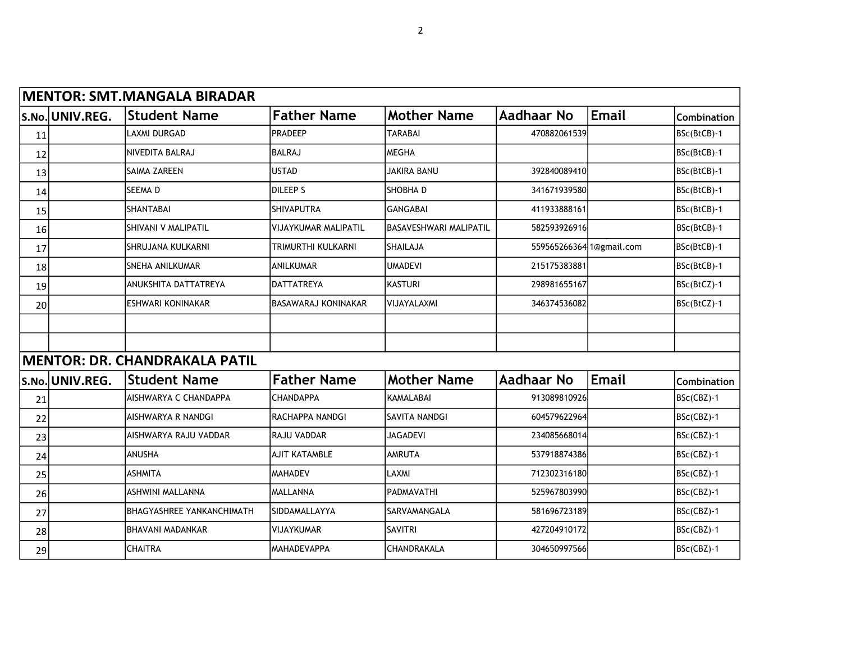|    | MENTOR: SMT.MANGALA BIRADAR |                                      |                             |                               |                          |              |             |  |  |  |  |
|----|-----------------------------|--------------------------------------|-----------------------------|-------------------------------|--------------------------|--------------|-------------|--|--|--|--|
|    | S.No. UNIV.REG.             | <b>Student Name</b>                  | <b>Father Name</b>          | <b>Mother Name</b>            | <b>Aadhaar No</b>        | <b>Email</b> | Combination |  |  |  |  |
| 11 |                             | <b>LAXMI DURGAD</b>                  | <b>PRADEEP</b>              | <b>TARABAI</b>                | 470882061539             |              | BSc(BtCB)-1 |  |  |  |  |
| 12 |                             | NIVEDITA BALRAJ                      | <b>BALRAJ</b>               | <b>MEGHA</b>                  |                          |              | BSc(BtCB)-1 |  |  |  |  |
| 13 |                             | SAIMA ZAREEN                         | <b>USTAD</b>                | <b>JAKIRA BANU</b>            | 392840089410             |              | BSc(BtCB)-1 |  |  |  |  |
| 14 |                             | SEEMA D                              | <b>DILEEP S</b>             | SHOBHA D                      | 341671939580             |              | BSc(BtCB)-1 |  |  |  |  |
| 15 |                             | SHANTABAI                            | <b>SHIVAPUTRA</b>           | <b>GANGABAI</b>               | 411933888161             |              | BSc(BtCB)-1 |  |  |  |  |
| 16 |                             | SHIVANI V MALIPATIL                  | <b>VIJAYKUMAR MALIPATIL</b> | <b>BASAVESHWARI MALIPATIL</b> | 582593926916             |              | BSc(BtCB)-1 |  |  |  |  |
| 17 |                             | SHRUJANA KULKARNI                    | TRIMURTHI KULKARNI          | SHAILAJA                      | 559565266364 1@gmail.com |              | BSc(BtCB)-1 |  |  |  |  |
| 18 |                             | SNEHA ANILKUMAR                      | ANILKUMAR                   | <b>UMADEVI</b>                | 215175383881             |              | BSc(BtCB)-1 |  |  |  |  |
| 19 |                             | ANUKSHITA DATTATREYA                 | <b>DATTATREYA</b>           | <b>KASTURI</b>                | 298981655167             |              | BSc(BtCZ)-1 |  |  |  |  |
| 20 |                             | <b>ESHWARI KONINAKAR</b>             | BASAWARAJ KONINAKAR         | VIJAYALAXMI                   | 346374536082             |              | BSc(BtCZ)-1 |  |  |  |  |
|    |                             |                                      |                             |                               |                          |              |             |  |  |  |  |
|    |                             |                                      |                             |                               |                          |              |             |  |  |  |  |
|    |                             | <b>MENTOR: DR. CHANDRAKALA PATIL</b> |                             |                               |                          |              |             |  |  |  |  |
|    | S.No. UNIV.REG.             | <b>Student Name</b>                  | <b>Father Name</b>          | <b>Mother Name</b>            | <b>Aadhaar No</b>        | Email        | Combination |  |  |  |  |
| 21 |                             | <b>AISHWARYA C CHANDAPPA</b>         | <b>CHANDAPPA</b>            | KAMALABAI                     | 913089810926             |              | BSc(CBZ)-1  |  |  |  |  |
| 22 |                             | <b>AISHWARYA R NANDGI</b>            | RACHAPPA NANDGI             | SAVITA NANDGI                 | 604579622964             |              | BSc(CBZ)-1  |  |  |  |  |
| 23 |                             | AISHWARYA RAJU VADDAR                | RAJU VADDAR                 | <b>JAGADEVI</b>               | 234085668014             |              | BSc(CBZ)-1  |  |  |  |  |
| 24 |                             | ANUSHA                               | <b>AJIT KATAMBLE</b>        | <b>AMRUTA</b>                 | 537918874386             |              | BSc(CBZ)-1  |  |  |  |  |
| 25 |                             | <b>ASHMITA</b>                       | <b>MAHADEV</b>              | LAXMI                         | 712302316180             |              | BSc(CBZ)-1  |  |  |  |  |
| 26 |                             | <b>ASHWINI MALLANNA</b>              | <b>MALLANNA</b>             | PADMAVATHI                    | 525967803990             |              | BSc(CBZ)-1  |  |  |  |  |
| 27 |                             | BHAGYASHREE YANKANCHIMATH            | SIDDAMALLAYYA               | SARVAMANGALA                  | 581696723189             |              | BSc(CBZ)-1  |  |  |  |  |
| 28 |                             | BHAVANI MADANKAR                     | <b>VIJAYKUMAR</b>           | <b>SAVITRI</b>                | 427204910172             |              | BSc(CBZ)-1  |  |  |  |  |
| 29 |                             | <b>CHAITRA</b>                       | <b>MAHADEVAPPA</b>          | CHANDRAKALA                   | 304650997566             |              | BSc(CBZ)-1  |  |  |  |  |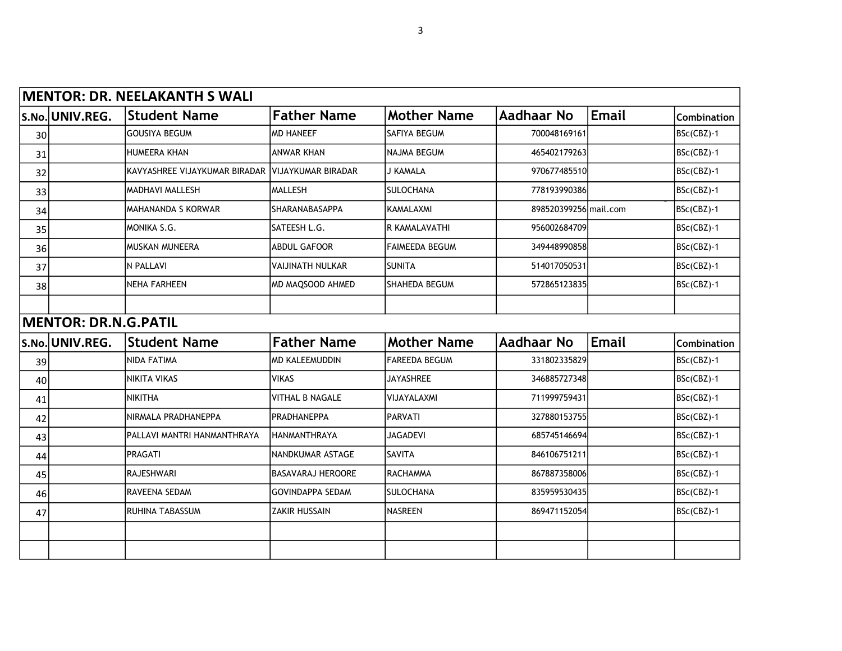|    |                             | MENTOR: DR. NEELAKANTH S WALI                    |                          |                       |                       |       |                    |
|----|-----------------------------|--------------------------------------------------|--------------------------|-----------------------|-----------------------|-------|--------------------|
|    | S.No. UNIV.REG.             | <b>Student Name</b>                              | <b>Father Name</b>       | <b>Mother Name</b>    | <b>Aadhaar No</b>     | Email | <b>Combination</b> |
| 30 |                             | <b>GOUSIYA BEGUM</b>                             | <b>MD HANEEF</b>         | <b>SAFIYA BEGUM</b>   | 700048169161          |       | BSc(CBZ)-1         |
| 31 |                             | <b>HUMEERA KHAN</b>                              | <b>ANWAR KHAN</b>        | <b>NAJMA BEGUM</b>    | 465402179263          |       | BSc(CBZ)-1         |
| 32 |                             | KAVYASHREE VIJAYKUMAR BIRADAR VIJAYKUMAR BIRADAR |                          | J KAMALA              | 970677485510          |       | BSc(CBZ)-1         |
| 33 |                             | MADHAVI MALLESH                                  | MALLESH                  | <b>SULOCHANA</b>      | 778193990386          |       | BSc(CBZ)-1         |
| 34 |                             | <b>MAHANANDA S KORWAR</b>                        | <b>SHARANABASAPPA</b>    | <b>KAMALAXMI</b>      | 898520399256 mail.com |       | BSc(CBZ)-1         |
| 35 |                             | MONIKA S.G.                                      | SATEESH L.G.             | R KAMALAVATHI         | 956002684709          |       | BSc(CBZ)-1         |
| 36 |                             | <b>MUSKAN MUNEERA</b>                            | <b>ABDUL GAFOOR</b>      | <b>FAIMEEDA BEGUM</b> | 349448990858          |       | BSc(CBZ)-1         |
| 37 |                             | N PALLAVI                                        | <b>VAIJINATH NULKAR</b>  | <b>SUNITA</b>         | 514017050531          |       | BSc(CBZ)-1         |
| 38 |                             | <b>NEHA FARHEEN</b>                              | MD MAQSOOD AHMED         | SHAHEDA BEGUM         | 572865123835          |       | BSc(CBZ)-1         |
|    |                             |                                                  |                          |                       |                       |       |                    |
|    | <b>MENTOR: DR.N.G.PATIL</b> |                                                  |                          |                       |                       |       |                    |
|    | S.No. UNIV.REG.             | <b>Student Name</b>                              | <b>Father Name</b>       | <b>Mother Name</b>    | <b>Aadhaar No</b>     | Email | Combination        |
| 39 |                             | <b>NIDA FATIMA</b>                               | <b>MD KALEEMUDDIN</b>    | <b>FAREEDA BEGUM</b>  | 331802335829          |       | BSc(CBZ)-1         |
| 40 |                             | <b>NIKITA VIKAS</b>                              | <b>VIKAS</b>             | <b>JAYASHREE</b>      | 346885727348          |       | BSc(CBZ)-1         |
| 41 |                             | <b>NIKITHA</b>                                   | <b>VITHAL B NAGALE</b>   | VIJAYALAXMI           | 711999759431          |       | BSc(CBZ)-1         |
| 42 |                             | NIRMALA PRADHANEPPA                              | PRADHANEPPA              | PARVATI               | 327880153755          |       | BSc(CBZ)-1         |
| 43 |                             | PALLAVI MANTRI HANMANTHRAYA                      | Ihanmanthraya            | <b>JAGADEVI</b>       | 685745146694          |       | BSc(CBZ)-1         |
| 44 |                             | PRAGATI                                          | NANDKUMAR ASTAGE         | <b>SAVITA</b>         | 846106751211          |       | BSc(CBZ)-1         |
| 45 |                             | <b>RAJESHWARI</b>                                | <b>BASAVARAJ HEROORE</b> | <b>RACHAMMA</b>       | 867887358006          |       | BSc(CBZ)-1         |
| 46 |                             | RAVEENA SEDAM                                    | <b>GOVINDAPPA SEDAM</b>  | <b>SULOCHANA</b>      | 835959530435          |       | BSc(CBZ)-1         |
| 47 |                             | RUHINA TABASSUM                                  | <b>ZAKIR HUSSAIN</b>     | NASREEN               | 869471152054          |       | BSc(CBZ)-1         |
|    |                             |                                                  |                          |                       |                       |       |                    |
|    |                             |                                                  |                          |                       |                       |       |                    |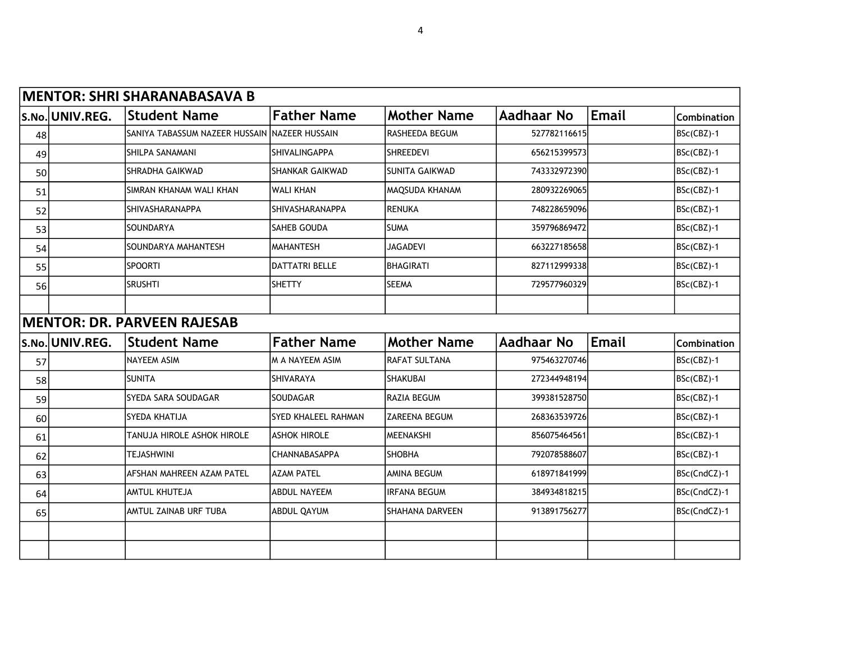|    | <b>MENTOR: SHRI SHARANABASAVA B</b> |                                               |                            |                       |                   |              |              |  |  |  |  |
|----|-------------------------------------|-----------------------------------------------|----------------------------|-----------------------|-------------------|--------------|--------------|--|--|--|--|
|    | S.No. UNIV.REG.                     | <b>Student Name</b>                           | <b>Father Name</b>         | <b>Mother Name</b>    | Aadhaar No        | <b>Email</b> | Combination  |  |  |  |  |
| 48 |                                     | SANIYA TABASSUM NAZEER HUSSAIN NAZEER HUSSAIN |                            | RASHEEDA BEGUM        | 527782116615      |              | BSc(CBZ)-1   |  |  |  |  |
| 49 |                                     | SHILPA SANAMANI                               | SHIVALINGAPPA              | <b>SHREEDEVI</b>      | 656215399573      |              | BSc(CBZ)-1   |  |  |  |  |
| 50 |                                     | <b>SHRADHA GAIKWAD</b>                        | <b>SHANKAR GAIKWAD</b>     | <b>SUNITA GAIKWAD</b> | 743332972390      |              | BSc(CBZ)-1   |  |  |  |  |
| 51 |                                     | SIMRAN KHANAM WALI KHAN                       | <b>WALI KHAN</b>           | MAQSUDA KHANAM        | 280932269065      |              | BSc(CBZ)-1   |  |  |  |  |
| 52 |                                     | SHIVASHARANAPPA                               | SHIVASHARANAPPA            | <b>RENUKA</b>         | 748228659096      |              | BSc(CBZ)-1   |  |  |  |  |
| 53 |                                     | SOUNDARYA                                     | SAHEB GOUDA                | <b>SUMA</b>           | 359796869472      |              | BSc(CBZ)-1   |  |  |  |  |
| 54 |                                     | SOUNDARYA MAHANTESH                           | <b>MAHANTESH</b>           | <b>JAGADEVI</b>       | 663227185658      |              | BSc(CBZ)-1   |  |  |  |  |
| 55 |                                     | <b>SPOORTI</b>                                | <b>DATTATRI BELLE</b>      | BHAGIRATI             | 827112999338      |              | BSc(CBZ)-1   |  |  |  |  |
| 56 |                                     | <b>SRUSHTI</b>                                | <b>SHETTY</b>              | <b>SEEMA</b>          | 729577960329      |              | BSc(CBZ)-1   |  |  |  |  |
|    |                                     |                                               |                            |                       |                   |              |              |  |  |  |  |
|    |                                     | <b>MENTOR: DR. PARVEEN RAJESAB</b>            |                            |                       |                   |              |              |  |  |  |  |
|    | S.No. UNIV.REG.                     | <b>Student Name</b>                           | <b>Father Name</b>         | <b>Mother Name</b>    | <b>Aadhaar No</b> | <b>Email</b> | Combination  |  |  |  |  |
| 57 |                                     | <b>NAYEEM ASIM</b>                            | M A NAYEEM ASIM            | RAFAT SULTANA         | 975463270746      |              | BSc(CBZ)-1   |  |  |  |  |
| 58 |                                     | <b>SUNITA</b>                                 | <b>SHIVARAYA</b>           | <b>SHAKUBAI</b>       | 272344948194      |              | BSc(CBZ)-1   |  |  |  |  |
| 59 |                                     | SYEDA SARA SOUDAGAR                           | <b>SOUDAGAR</b>            | RAZIA BEGUM           | 399381528750      |              | BSc(CBZ)-1   |  |  |  |  |
| 60 |                                     | SYEDA KHATIJA                                 | <b>SYED KHALEEL RAHMAN</b> | <b>ZAREENA BEGUM</b>  | 268363539726      |              | BSc(CBZ)-1   |  |  |  |  |
| 61 |                                     | TANUJA HIROLE ASHOK HIROLE                    | <b>ASHOK HIROLE</b>        | MEENAKSHI             | 856075464561      |              | BSc(CBZ)-1   |  |  |  |  |
| 62 |                                     | <b>TEJASHWINI</b>                             | CHANNABASAPPA              | <b>SHOBHA</b>         | 792078588607      |              | BSc(CBZ)-1   |  |  |  |  |
| 63 |                                     | AFSHAN MAHREEN AZAM PATEL                     | <b>AZAM PATEL</b>          | <b>AMINA BEGUM</b>    | 618971841999      |              | BSc(CndCZ)-1 |  |  |  |  |
| 64 |                                     | AMTUL KHUTEJA                                 | <b>ABDUL NAYEEM</b>        | <b>IRFANA BEGUM</b>   | 384934818215      |              | BSc(CndCZ)-1 |  |  |  |  |
| 65 |                                     | AMTUL ZAINAB URF TUBA                         | <b>ABDUL QAYUM</b>         | SHAHANA DARVEEN       | 913891756277      |              | BSc(CndCZ)-1 |  |  |  |  |
|    |                                     |                                               |                            |                       |                   |              |              |  |  |  |  |
|    |                                     |                                               |                            |                       |                   |              |              |  |  |  |  |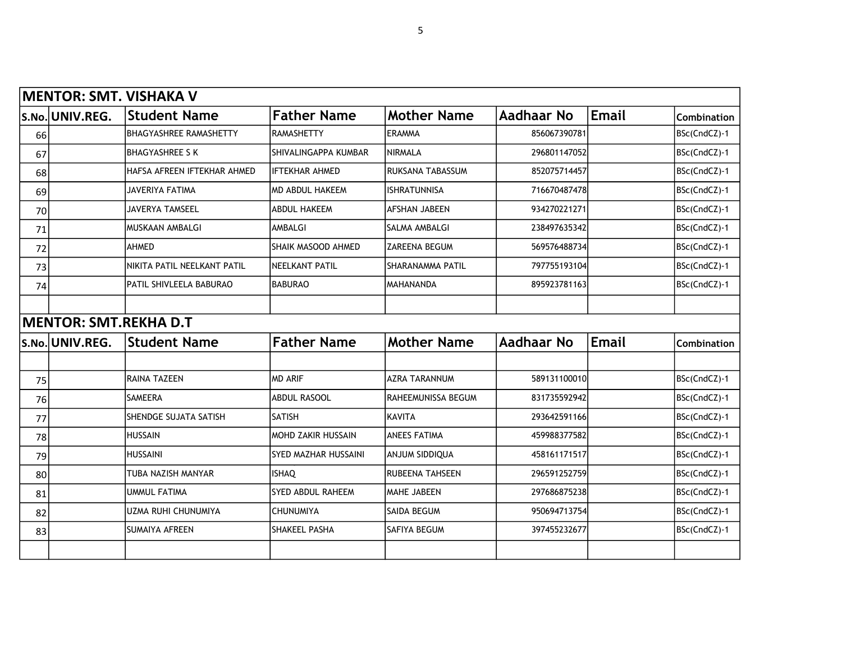|    |                              | <b>MENTOR: SMT. VISHAKA V</b> |                             |                      |                   |              |                    |
|----|------------------------------|-------------------------------|-----------------------------|----------------------|-------------------|--------------|--------------------|
|    | S.No. UNIV.REG.              | <b>Student Name</b>           | <b>Father Name</b>          | <b>Mother Name</b>   | <b>Aadhaar No</b> | <b>Email</b> | Combination        |
| 66 |                              | <b>BHAGYASHREE RAMASHETTY</b> | <b>RAMASHETTY</b>           | <b>ERAMMA</b>        | 856067390781      |              | BSc(CndCZ)-1       |
| 67 |                              | <b>BHAGYASHREE S K</b>        | SHIVALINGAPPA KUMBAR        | <b>NIRMALA</b>       | 296801147052      |              | BSc(CndCZ)-1       |
| 68 |                              | HAFSA AFREEN IFTEKHAR AHMED   | <b>IFTEKHAR AHMED</b>       | RUKSANA TABASSUM     | 852075714457      |              | BSc(CndCZ)-1       |
| 69 |                              | <b>JAVERIYA FATIMA</b>        | <b>MD ABDUL HAKEEM</b>      | <b>ISHRATUNNISA</b>  | 716670487478      |              | BSc(CndCZ)-1       |
| 70 |                              | JAVERYA TAMSEEL               | <b>ABDUL HAKEEM</b>         | AFSHAN JABEEN        | 934270221271      |              | BSc(CndCZ)-1       |
| 71 |                              | IMUSKAAN AMBALGI              | AMBALGI                     | SALMA AMBALGI        | 238497635342      |              | BSc(CndCZ)-1       |
| 72 |                              | AHMED                         | SHAIK MASOOD AHMED          | ZAREENA BEGUM        | 569576488734      |              | BSc(CndCZ)-1       |
| 73 |                              | NIKITA PATIL NEELKANT PATIL   | NEELKANT PATIL              | SHARANAMMA PATIL     | 797755193104      |              | BSc(CndCZ)-1       |
| 74 |                              | PATIL SHIVLEELA BABURAO       | <b>BABURAO</b>              | MAHANANDA            | 895923781163      |              | BSc(CndCZ)-1       |
|    |                              |                               |                             |                      |                   |              |                    |
|    | <b>MENTOR: SMT.REKHA D.T</b> |                               |                             |                      |                   |              |                    |
|    | S.No. UNIV.REG.              | <b>Student Name</b>           | <b>Father Name</b>          | <b>Mother Name</b>   | <b>Aadhaar No</b> | <b>Email</b> | <b>Combination</b> |
|    |                              |                               |                             |                      |                   |              |                    |
| 75 |                              | RAINA TAZEEN                  | <b>MD ARIF</b>              | <b>AZRA TARANNUM</b> | 589131100010      |              | BSc(CndCZ)-1       |
| 76 |                              | <b>SAMEERA</b>                | <b>ABDUL RASOOL</b>         | RAHEEMUNISSA BEGUM   | 831735592942      |              | BSc(CndCZ)-1       |
| 77 |                              | SHENDGE SUJATA SATISH         | <b>SATISH</b>               | <b>KAVITA</b>        | 293642591166      |              | BSc(CndCZ)-1       |
| 78 |                              | <b>HUSSAIN</b>                | MOHD ZAKIR HUSSAIN          | <b>ANEES FATIMA</b>  | 459988377582      |              | BSc(CndCZ)-1       |
| 79 |                              | <b>HUSSAINI</b>               | <b>SYED MAZHAR HUSSAINI</b> | ANJUM SIDDIQUA       | 458161171517      |              | BSc(CndCZ)-1       |
| 80 |                              | TUBA NAZISH MANYAR            | <b>ISHAQ</b>                | RUBEENA TAHSEEN      | 296591252759      |              | BSc(CndCZ)-1       |
| 81 |                              | <b>UMMUL FATIMA</b>           | <b>SYED ABDUL RAHEEM</b>    | MAHE JABEEN          | 297686875238      |              | BSc(CndCZ)-1       |
| 82 |                              | UZMA RUHI CHUNUMIYA           | <b>CHUNUMIYA</b>            | SAIDA BEGUM          | 950694713754      |              | BSc(CndCZ)-1       |
| 83 |                              | <b>SUMAIYA AFREEN</b>         | SHAKEEL PASHA               | SAFIYA BEGUM         | 397455232677      |              | BSc(CndCZ)-1       |
|    |                              |                               |                             |                      |                   |              |                    |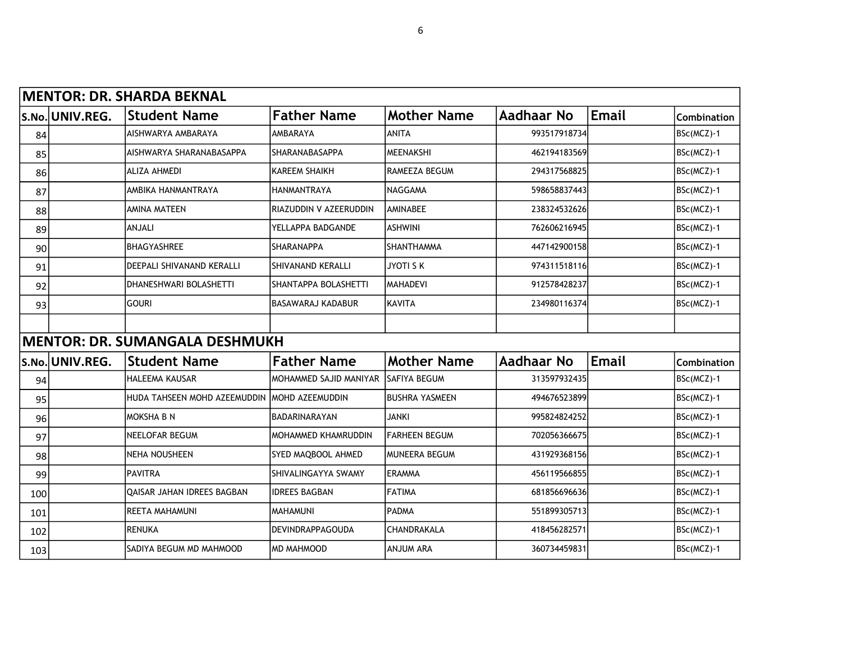|     | MENTOR: DR. SHARDA BEKNAL |                                       |                            |                       |              |              |                    |  |  |  |  |
|-----|---------------------------|---------------------------------------|----------------------------|-----------------------|--------------|--------------|--------------------|--|--|--|--|
|     | S.No. UNIV.REG.           | <b>Student Name</b>                   | <b>Father Name</b>         | <b>Mother Name</b>    | Aadhaar No   | <b>Email</b> | <b>Combination</b> |  |  |  |  |
| 84  |                           | AISHWARYA AMBARAYA                    | <b>AMBARAYA</b>            | <b>ANITA</b>          | 993517918734 |              | BSc(MCZ)-1         |  |  |  |  |
| 85  |                           | AISHWARYA SHARANABASAPPA              | SHARANABASAPPA             | <b>MEENAKSHI</b>      | 462194183569 |              | BSc(MCZ)-1         |  |  |  |  |
| 86  |                           | ALIZA AHMEDI                          | <b>KAREEM SHAIKH</b>       | <b>RAMEEZA BEGUM</b>  | 294317568825 |              | BSc(MCZ)-1         |  |  |  |  |
| 87  |                           | AMBIKA HANMANTRAYA                    | <b>HANMANTRAYA</b>         | <b>NAGGAMA</b>        | 598658837443 |              | BSc(MCZ)-1         |  |  |  |  |
| 88  |                           | <b>AMINA MATEEN</b>                   | RIAZUDDIN V AZEERUDDIN     | <b>AMINABEE</b>       | 238324532626 |              | BSc(MCZ)-1         |  |  |  |  |
| 89  |                           | <b>ANJALI</b>                         | YELLAPPA BADGANDE          | <b>ASHWINI</b>        | 762606216945 |              | BSc(MCZ)-1         |  |  |  |  |
| 90  |                           | <b>BHAGYASHREE</b>                    | <b>SHARANAPPA</b>          | <b>SHANTHAMMA</b>     | 447142900158 |              | BSc(MCZ)-1         |  |  |  |  |
| 91  |                           | DEEPALI SHIVANAND KERALLI             | <b>SHIVANAND KERALLI</b>   | <b>JYOTI S K</b>      | 974311518116 |              | BSc(MCZ)-1         |  |  |  |  |
| 92  |                           | DHANESHWARI BOLASHETTI                | SHANTAPPA BOLASHETTI       | <b>MAHADEVI</b>       | 912578428237 |              | BSc(MCZ)-1         |  |  |  |  |
| 93  |                           | <b>GOURI</b>                          | <b>BASAWARAJ KADABUR</b>   | KAVITA                | 234980116374 |              | BSc(MCZ)-1         |  |  |  |  |
|     |                           |                                       |                            |                       |              |              |                    |  |  |  |  |
|     |                           | <b>MENTOR: DR. SUMANGALA DESHMUKH</b> |                            |                       |              |              |                    |  |  |  |  |
|     | S.No. UNIV.REG.           | <b>Student Name</b>                   | <b>Father Name</b>         | <b>Mother Name</b>    | Aadhaar No   | <b>Email</b> | Combination        |  |  |  |  |
| 94  |                           | <b>HALEEMA KAUSAR</b>                 | MOHAMMED SAJID MANIYAR     | lSAFIYA BEGUM         | 313597932435 |              | BSc(MCZ)-1         |  |  |  |  |
| 95  |                           | HUDA TAHSEEN MOHD AZEEMUDDIN          | IMOHD AZEEMUDDIN           | <b>BUSHRA YASMEEN</b> | 494676523899 |              | BSc(MCZ)-1         |  |  |  |  |
| 96  |                           | Imoksha b n                           | BADARINARAYAN              | <b>JANKI</b>          | 995824824252 |              | BSc(MCZ)-1         |  |  |  |  |
| 97  |                           | <b>NEELOFAR BEGUM</b>                 | <b>MOHAMMED KHAMRUDDIN</b> | <b>FARHEEN BEGUM</b>  | 702056366675 |              | BSc(MCZ)-1         |  |  |  |  |
| 98  |                           | NEHA NOUSHEEN                         | SYED MAQBOOL AHMED         | <b>MUNEERA BEGUM</b>  | 431929368156 |              | BSc(MCZ)-1         |  |  |  |  |
| 99  |                           | <b>PAVITRA</b>                        | SHIVALINGAYYA SWAMY        | <b>ERAMMA</b>         | 456119566855 |              | BSc(MCZ)-1         |  |  |  |  |
| 100 |                           | OAISAR JAHAN IDREES BAGBAN            | <b>IDREES BAGBAN</b>       | <b>FATIMA</b>         | 681856696636 |              | BSc(MCZ)-1         |  |  |  |  |
| 101 |                           | <b>REETA MAHAMUNI</b>                 | MAHAMUNI                   | <b>PADMA</b>          | 551899305713 |              | BSc(MCZ)-1         |  |  |  |  |
| 102 |                           | <b>RENUKA</b>                         | <b>DEVINDRAPPAGOUDA</b>    | CHANDRAKALA           | 418456282571 |              | BSc(MCZ)-1         |  |  |  |  |
| 103 |                           | SADIYA BEGUM MD MAHMOOD               | <b>MD MAHMOOD</b>          | <b>ANJUM ARA</b>      | 360734459831 |              | BSc(MCZ)-1         |  |  |  |  |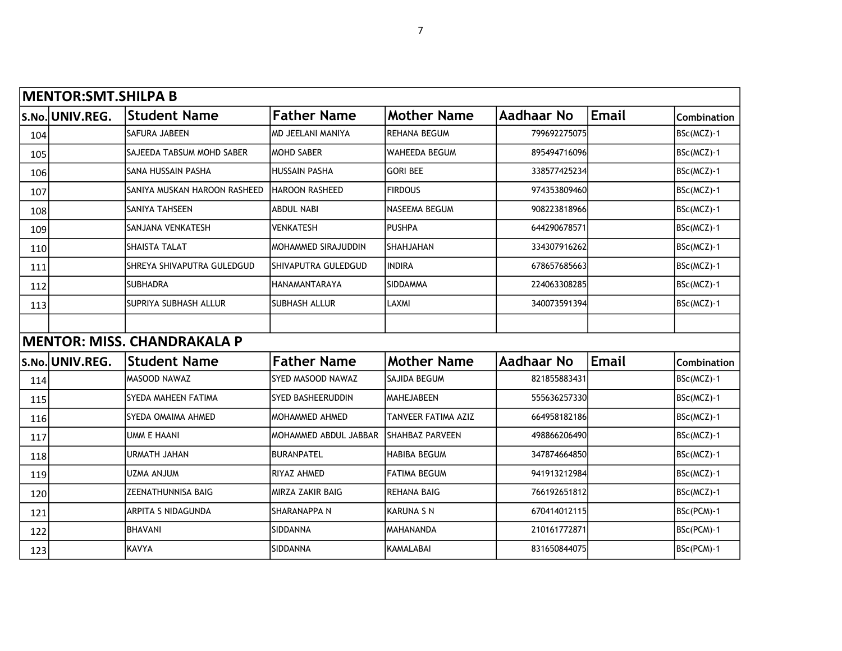|     | <b>MENTOR: SMT. SHILPA B</b> |                                    |                            |                        |                   |              |             |
|-----|------------------------------|------------------------------------|----------------------------|------------------------|-------------------|--------------|-------------|
|     | S.No. UNIV.REG.              | <b>Student Name</b>                | <b>Father Name</b>         | <b>Mother Name</b>     | Aadhaar No        | <b>Email</b> | Combination |
| 104 |                              | SAFURA JABEEN                      | MD JEELANI MANIYA          | <b>REHANA BEGUM</b>    | 799692275075      |              | BSc(MCZ)-1  |
| 105 |                              | SAJEEDA TABSUM MOHD SABER          | IMOHD SABER                | <b>WAHEEDA BEGUM</b>   | 895494716096      |              | BSc(MCZ)-1  |
| 106 |                              | SANA HUSSAIN PASHA                 | <b>HUSSAIN PASHA</b>       | <b>GORI BEE</b>        | 338577425234      |              | BSc(MCZ)-1  |
| 107 |                              | SANIYA MUSKAN HAROON RASHEED       | IHAROON RASHEED            | <b>FIRDOUS</b>         | 974353809460      |              | BSc(MCZ)-1  |
| 108 |                              | SANIYA TAHSEEN                     | <b>ABDUL NABI</b>          | <b>NASEEMA BEGUM</b>   | 908223818966      |              | BSc(MCZ)-1  |
| 109 |                              | SANJANA VENKATESH                  | <b>VENKATESH</b>           | <b>PUSHPA</b>          | 644290678571      |              | BSc(MCZ)-1  |
| 110 |                              | <b>SHAISTA TALAT</b>               | <b>MOHAMMED SIRAJUDDIN</b> | SHAHJAHAN              | 334307916262      |              | BSc(MCZ)-1  |
| 111 |                              | SHREYA SHIVAPUTRA GULEDGUD         | SHIVAPUTRA GULEDGUD        | INDIRA                 | 678657685663      |              | BSc(MCZ)-1  |
| 112 |                              | <b>SUBHADRA</b>                    | HANAMANTARAYA              | <b>SIDDAMMA</b>        | 224063308285      |              | BSc(MCZ)-1  |
| 113 |                              | SUPRIYA SUBHASH ALLUR              | <b>SUBHASH ALLUR</b>       | LAXMI                  | 340073591394      |              | BSc(MCZ)-1  |
|     |                              |                                    |                            |                        |                   |              |             |
|     |                              | <b>MENTOR: MISS. CHANDRAKALA P</b> |                            |                        |                   |              |             |
|     | S.No. UNIV.REG.              | <b>Student Name</b>                | <b>Father Name</b>         | <b>Mother Name</b>     | <b>Aadhaar No</b> | <b>Email</b> | Combination |
| 114 |                              | MASOOD NAWAZ                       | SYED MASOOD NAWAZ          | SAJIDA BEGUM           | 821855883431      |              | BSc(MCZ)-1  |
| 115 |                              | SYEDA MAHEEN FATIMA                | <b>SYED BASHEERUDDIN</b>   | <b>MAHEJABEEN</b>      | 555636257330      |              | BSc(MCZ)-1  |
| 116 |                              | SYEDA OMAIMA AHMED                 | <b>MOHAMMED AHMED</b>      | TANVEER FATIMA AZIZ    | 664958182186      |              | BSc(MCZ)-1  |
| 117 |                              | <b>UMM E HAANI</b>                 | MOHAMMED ABDUL JABBAR      | <b>SHAHBAZ PARVEEN</b> | 498866206490      |              | BSc(MCZ)-1  |
| 118 |                              | <b>URMATH JAHAN</b>                | <b>BURANPATEL</b>          | <b>HABIBA BEGUM</b>    | 347874664850      |              | BSc(MCZ)-1  |
| 119 |                              | <b>UZMA ANJUM</b>                  | <b>RIYAZ AHMED</b>         | <b>FATIMA BEGUM</b>    | 941913212984      |              | BSc(MCZ)-1  |
| 120 |                              | ZEENATHUNNISA BAIG                 | MIRZA ZAKIR BAIG           | <b>REHANA BAIG</b>     | 766192651812      |              | BSc(MCZ)-1  |
| 121 |                              | ARPITA S NIDAGUNDA                 | <b>SHARANAPPAN</b>         | <b>KARUNA S N</b>      | 670414012115      |              | BSc(PCM)-1  |
| 122 |                              | <b>BHAVANI</b>                     | SIDDANNA                   | <b>MAHANANDA</b>       | 210161772871      |              | BSc(PCM)-1  |
| 123 |                              | KAVYA                              | SIDDANNA                   | <b>KAMALABAI</b>       | 831650844075      |              | BSc(PCM)-1  |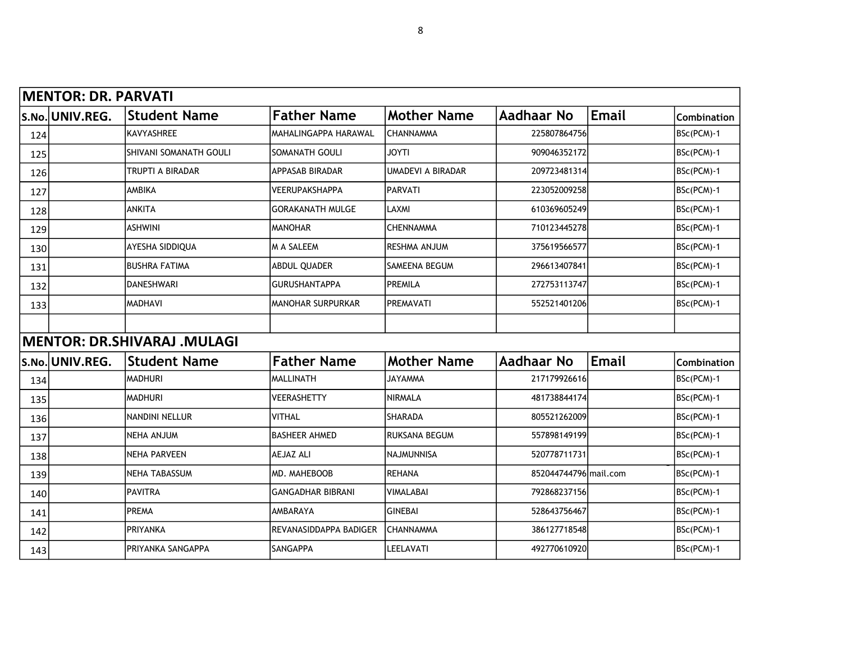|     | <b>MENTOR: DR. PARVATI</b> |                                    |                          |                     |                       |              |             |
|-----|----------------------------|------------------------------------|--------------------------|---------------------|-----------------------|--------------|-------------|
|     | S.No. UNIV.REG.            | <b>Student Name</b>                | <b>Father Name</b>       | <b>Mother Name</b>  | Aadhaar No            | <b>Email</b> | Combination |
| 124 |                            | KAVYASHREE                         | MAHALINGAPPA HARAWAL     | <b>CHANNAMMA</b>    | 225807864756          |              | BSc(PCM)-1  |
| 125 |                            | SHIVANI SOMANATH GOULI             | SOMANATH GOULI           | <b>ITYOL</b>        | 909046352172          |              | BSc(PCM)-1  |
| 126 |                            | TRUPTI A BIRADAR                   | APPASAB BIRADAR          | UMADEVI A BIRADAR   | 209723481314          |              | BSc(PCM)-1  |
| 127 |                            | <b>AMBIKA</b>                      | <b>VEERUPAKSHAPPA</b>    | PARVATI             | 223052009258          |              | BSc(PCM)-1  |
| 128 |                            | <b>ANKITA</b>                      | <b>GORAKANATH MULGE</b>  | LAXMI               | 610369605249          |              | BSc(PCM)-1  |
| 129 |                            | <b>ASHWINI</b>                     | <b>MANOHAR</b>           | <b>CHENNAMMA</b>    | 710123445278          |              | BSc(PCM)-1  |
| 130 |                            | AYESHA SIDDIQUA                    | M A SALEEM               | <b>RESHMA ANJUM</b> | 375619566577          |              | BSc(PCM)-1  |
| 131 |                            | <b>BUSHRA FATIMA</b>               | ABDUL QUADER             | SAMEENA BEGUM       | 296613407841          |              | BSc(PCM)-1  |
| 132 |                            | DANESHWARI                         | <b>GURUSHANTAPPA</b>     | PREMILA             | 272753113747          |              | BSc(PCM)-1  |
| 133 |                            | MADHAVI                            | <b>MANOHAR SURPURKAR</b> | PREMAVATI           | 552521401206          |              | BSc(PCM)-1  |
|     |                            |                                    |                          |                     |                       |              |             |
|     |                            | <b>MENTOR: DR.SHIVARAJ .MULAGI</b> |                          |                     |                       |              |             |
|     | S.No. UNIV.REG.            | <b>Student Name</b>                | <b>Father Name</b>       | <b>Mother Name</b>  | <b>Aadhaar No</b>     | <b>Email</b> | Combination |
| 134 |                            | <b>MADHURI</b>                     | MALLINATH                | <b>JAYAMMA</b>      | 217179926616          |              | BSc(PCM)-1  |
| 135 |                            | <b>MADHURI</b>                     | VEERASHETTY              | NIRMALA             | 481738844174          |              | BSc(PCM)-1  |
| 136 |                            | NANDINI NELLUR                     | <b>VITHAL</b>            | <b>SHARADA</b>      | 805521262009          |              | BSc(PCM)-1  |
| 137 |                            | NEHA ANJUM                         | <b>BASHEER AHMED</b>     | RUKSANA BEGUM       | 557898149199          |              | BSc(PCM)-1  |
| 138 |                            | NEHA PARVEEN                       | AEJAZ ALI                | <b>NAJMUNNISA</b>   | 520778711731          |              | BSc(PCM)-1  |
| 139 |                            | NEHA TABASSUM                      | MD. MAHEBOOB             | <b>REHANA</b>       | 852044744796 mail.com |              | BSc(PCM)-1  |
| 140 |                            | <b>PAVITRA</b>                     | <b>GANGADHAR BIBRANI</b> | <b>VIMALABAI</b>    | 792868237156          |              | BSc(PCM)-1  |
| 141 |                            | PREMA                              | <b>AMBARAYA</b>          | <b>GINEBAI</b>      | 528643756467          |              | BSc(PCM)-1  |
| 142 |                            | <b>PRIYANKA</b>                    | REVANASIDDAPPA BADIGER   | CHANNAMMA           | 386127718548          |              | BSc(PCM)-1  |
| 143 |                            | PRIYANKA SANGAPPA                  | <b>SANGAPPA</b>          | LEELAVATI           | 492770610920          |              | BSc(PCM)-1  |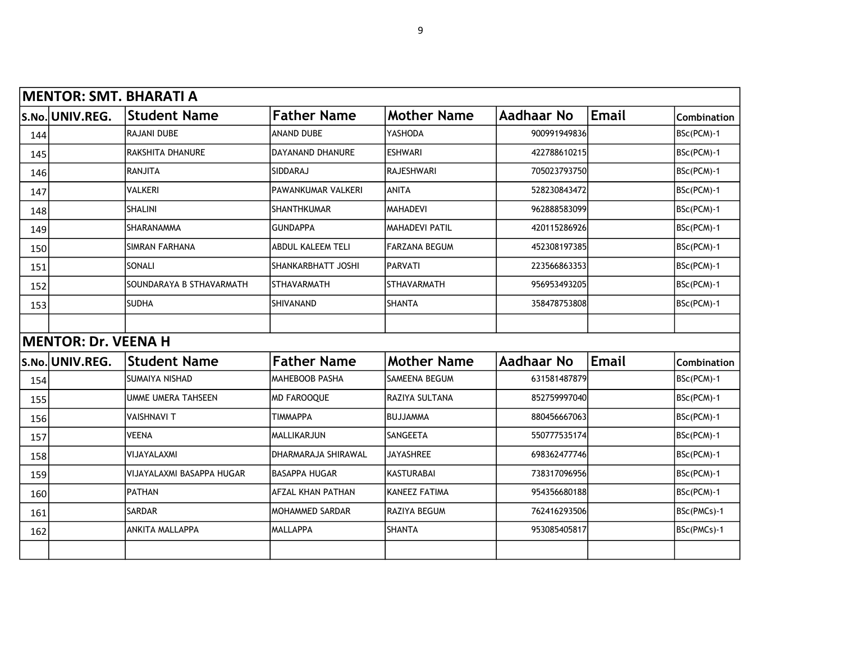|       |                            | <b>MENTOR: SMT. BHARATI A</b> |                            |                       |              |       |             |
|-------|----------------------------|-------------------------------|----------------------------|-----------------------|--------------|-------|-------------|
|       | S.No. UNIV.REG.            | <b>Student Name</b>           | <b>Father Name</b>         | <b>Mother Name</b>    | Aadhaar No   | Email | Combination |
| 144   |                            | <b>RAJANI DUBE</b>            | <b>ANAND DUBE</b>          | YASHODA               | 900991949836 |       | BSc(PCM)-1  |
| 145   |                            | <b>RAKSHITA DHANURE</b>       | <b>DAYANAND DHANURE</b>    | <b>ESHWARI</b>        | 422788610215 |       | BSc(PCM)-1  |
| 146   |                            | <b>RANJITA</b>                | SIDDARAJ                   | RAJESHWARI            | 705023793750 |       | BSc(PCM)-1  |
| 147   |                            | <b>VALKERI</b>                | <b>PAWANKUMAR VALKERI</b>  | ANITA                 | 528230843472 |       | BSc(PCM)-1  |
| 148   |                            | <b>SHALINI</b>                | <b>SHANTHKUMAR</b>         | <b>MAHADEVI</b>       | 962888583099 |       | BSc(PCM)-1  |
| 149   |                            | <b>SHARANAMMA</b>             | <b>GUNDAPPA</b>            | <b>MAHADEVI PATIL</b> | 420115286926 |       | BSc(PCM)-1  |
| 150   |                            | <b>SIMRAN FARHANA</b>         | <b>ABDUL KALEEM TELI</b>   | <b>FARZANA BEGUM</b>  | 452308197385 |       | BSc(PCM)-1  |
| 151   |                            | SONALI                        | SHANKARBHATT JOSHI         | PARVATI               | 223566863353 |       | BSc(PCM)-1  |
| 152   |                            | SOUNDARAYA B STHAVARMATH      | <b>STHAVARMATH</b>         | <b>STHAVARMATH</b>    | 956953493205 |       | BSc(PCM)-1  |
| 153   |                            | <b>SUDHA</b>                  | <b>SHIVANAND</b>           | SHANTA                | 358478753808 |       | BSc(PCM)-1  |
|       |                            |                               |                            |                       |              |       |             |
|       | <b>MENTOR: Dr. VEENA H</b> |                               |                            |                       |              |       |             |
| S.No. | UNIV.REG.                  | <b>Student Name</b>           | <b>Father Name</b>         | <b>Mother Name</b>    | Aadhaar No   | Email | Combination |
| 154   |                            | <b>SUMAIYA NISHAD</b>         | <b>MAHEBOOB PASHA</b>      | <b>SAMEENA BEGUM</b>  | 631581487879 |       | BSc(PCM)-1  |
| 155   |                            | <b>UMME UMERA TAHSEEN</b>     | <b>MD FAROOQUE</b>         | RAZIYA SULTANA        | 852759997040 |       | BSc(PCM)-1  |
| 156   |                            | <b>VAISHNAVI T</b>            | <b>TIMMAPPA</b>            | BUJJAMMA              | 880456667063 |       | BSc(PCM)-1  |
| 157   |                            | <b>VEENA</b>                  | <b>MALLIKARJUN</b>         | <b>SANGEETA</b>       | 550777535174 |       | BSc(PCM)-1  |
| 158   |                            | VIJAYALAXMI                   | <b>DHARMARAJA SHIRAWAL</b> | <b>JAYASHREE</b>      | 698362477746 |       | BSc(PCM)-1  |
| 159   |                            | VIJAYALAXMI BASAPPA HUGAR     | <b>BASAPPA HUGAR</b>       | <b>KASTURABAI</b>     | 738317096956 |       | BSc(PCM)-1  |
| 160   |                            | <b>PATHAN</b>                 | <b>AFZAL KHAN PATHAN</b>   | KANEEZ FATIMA         | 954356680188 |       | BSc(PCM)-1  |
| 161   |                            | <b>SARDAR</b>                 | <b>MOHAMMED SARDAR</b>     | RAZIYA BEGUM          | 762416293506 |       | BSc(PMCs)-1 |
| 162   |                            | ANKITA MALLAPPA               | <b>MALLAPPA</b>            | <b>SHANTA</b>         | 953085405817 |       | BSc(PMCs)-1 |
|       |                            |                               |                            |                       |              |       |             |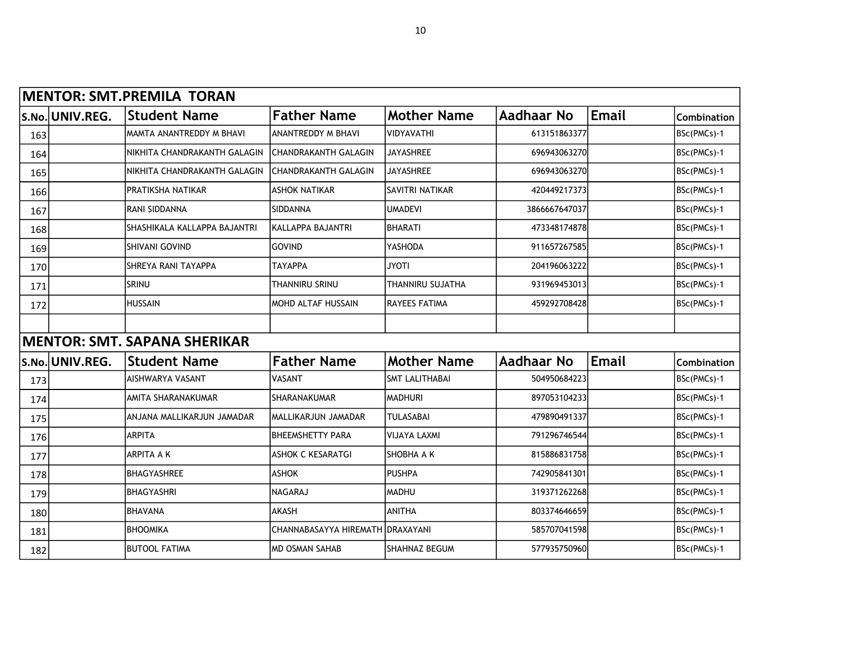| <b>MENTOR: SMT.PREMILA TORAN</b> |                 |                                     |                                  |                       |               |              |             |  |  |  |
|----------------------------------|-----------------|-------------------------------------|----------------------------------|-----------------------|---------------|--------------|-------------|--|--|--|
|                                  | S.No. UNIV.REG. | <b>Student Name</b>                 | <b>Father Name</b>               | <b>Mother Name</b>    | Aadhaar No    | <b>Email</b> | Combination |  |  |  |
| 163                              |                 | MAMTA ANANTREDDY M BHAVI            | <b>ANANTREDDY M BHAVI</b>        | <b>VIDYAVATHI</b>     | 613151863377  |              | BSc(PMCs)-1 |  |  |  |
| 164                              |                 | NIKHITA CHANDRAKANTH GALAGIN        | <b>CHANDRAKANTH GALAGIN</b>      | <b>JAYASHREE</b>      | 696943063270  |              | BSc(PMCs)-1 |  |  |  |
| 165                              |                 | NIKHITA CHANDRAKANTH GALAGIN        | <b>CHANDRAKANTH GALAGIN</b>      | JAYASHREE             | 696943063270  |              | BSc(PMCs)-1 |  |  |  |
| 166                              |                 | PRATIKSHA NATIKAR                   | <b>ASHOK NATIKAR</b>             | SAVITRI NATIKAR       | 420449217373  |              | BSc(PMCs)-1 |  |  |  |
| 167                              |                 | RANI SIDDANNA                       | SIDDANNA                         | <b>UMADEVI</b>        | 3866667647037 |              | BSc(PMCs)-1 |  |  |  |
| 168                              |                 | SHASHIKALA KALLAPPA BAJANTRI        | İKALLAPPA BAJANTRI               | <b>BHARATI</b>        | 473348174878  |              | BSc(PMCs)-1 |  |  |  |
| 169                              |                 | SHIVANI GOVIND                      | <b>GOVIND</b>                    | YASHODA               | 911657267585  |              | BSc(PMCs)-1 |  |  |  |
| 170                              |                 | SHREYA RANI TAYAPPA                 | ΤΑΥΑΡΡΑ                          | <b>JYOTI</b>          | 204196063222  |              | BSc(PMCs)-1 |  |  |  |
| 171                              |                 | SRINU                               | THANNIRU SRINU                   | THANNIRU SUJATHA      | 931969453013  |              | BSc(PMCs)-1 |  |  |  |
| 172                              |                 | <b>HUSSAIN</b>                      | IMOHD ALTAF HUSSAIN              | RAYEES FATIMA         | 459292708428  |              | BSc(PMCs)-1 |  |  |  |
|                                  |                 |                                     |                                  |                       |               |              |             |  |  |  |
|                                  |                 | <b>MENTOR: SMT. SAPANA SHERIKAR</b> |                                  |                       |               |              |             |  |  |  |
| S.No.                            | UNIV.REG.       | <b>Student Name</b>                 | <b>Father Name</b>               | <b>Mother Name</b>    | Aadhaar No    | Email        | Combination |  |  |  |
| 173                              |                 | AISHWARYA VASANT                    | <b>VASANT</b>                    | <b>SMT LALITHABAI</b> | 504950684223  |              | BSc(PMCs)-1 |  |  |  |
| 174                              |                 | AMITA SHARANAKUMAR                  | <b>SHARANAKUMAR</b>              | <b>MADHURI</b>        | 897053104233  |              | BSc(PMCs)-1 |  |  |  |
| 175                              |                 | ANJANA MALLIKARJUN JAMADAR          | IMALLIKARJUN JAMADAR             | <b>TULASABAI</b>      | 479890491337  |              | BSc(PMCs)-1 |  |  |  |
| 176                              |                 | <b>ARPITA</b>                       | <b>BHEEMSHETTY PARA</b>          | <b>VIJAYA LAXMI</b>   | 791296746544  |              | BSc(PMCs)-1 |  |  |  |
| 177                              |                 | ARPITA A K                          | <b>ASHOK C KESARATGI</b>         | SHOBHA A K            | 815886831758  |              | BSc(PMCs)-1 |  |  |  |
| 178                              |                 | <b>BHAGYASHREE</b>                  | <b>ASHOK</b>                     | <b>PUSHPA</b>         | 742905841301  |              | BSc(PMCs)-1 |  |  |  |
| 179                              |                 | <b>BHAGYASHRI</b>                   | <b>NAGARAJ</b>                   | MADHU                 | 319371262268  |              | BSc(PMCs)-1 |  |  |  |
| 180                              |                 | <b>BHAVANA</b>                      | <b>AKASH</b>                     | <b>ANITHA</b>         | 803374646659  |              | BSc(PMCs)-1 |  |  |  |
| 181                              |                 | <b>BHOOMIKA</b>                     | CHANNABASAYYA HIREMATH DRAXAYANI |                       | 585707041598  |              | BSc(PMCs)-1 |  |  |  |
| 182                              |                 | <b>BUTOOL FATIMA</b>                | IMD OSMAN SAHAB                  | SHAHNAZ BEGUM         | 577935750960  |              | BSc(PMCs)-1 |  |  |  |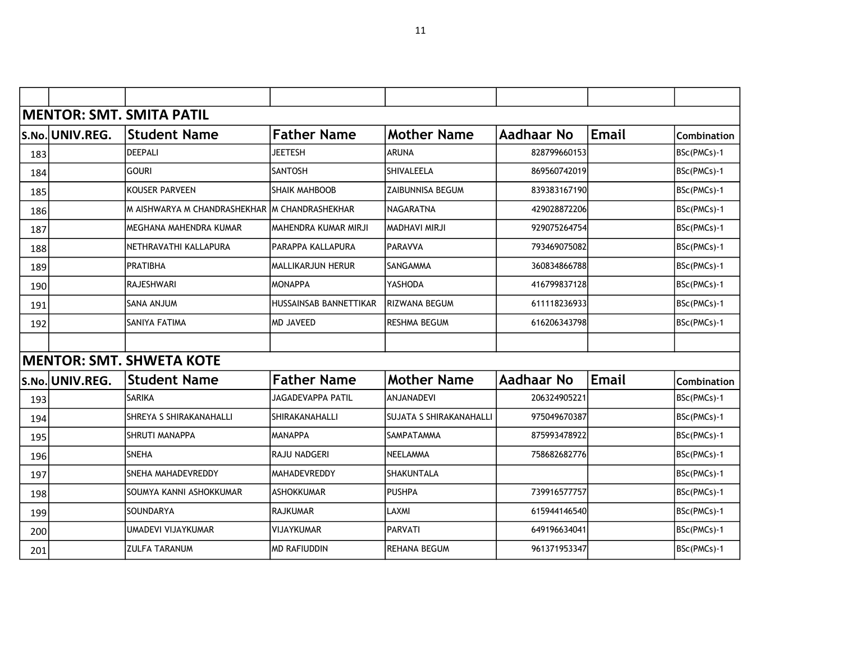|     |                 | <b>MENTOR: SMT. SMITA PATIL</b>               |                          |                                |                   |       |                    |
|-----|-----------------|-----------------------------------------------|--------------------------|--------------------------------|-------------------|-------|--------------------|
|     | S.No. UNIV.REG. | <b>Student Name</b>                           | <b>Father Name</b>       | <b>Mother Name</b>             | <b>Aadhaar No</b> | Email | <b>Combination</b> |
| 183 |                 | <b>DEEPALI</b>                                | JEETESH                  | ARUNA                          | 828799660153      |       | BSc(PMCs)-1        |
| 184 |                 | <b>GOURI</b>                                  | <b>SANTOSH</b>           | SHIVALEELA                     | 869560742019      |       | BSc(PMCs)-1        |
| 185 |                 | KOUSER PARVEEN                                | <b>SHAIK MAHBOOB</b>     | ZAIBUNNISA BEGUM               | 839383167190      |       | BSc(PMCs)-1        |
| 186 |                 | M AISHWARYA M CHANDRASHEKHAR M CHANDRASHEKHAR |                          | <b>NAGARATNA</b>               | 429028872206      |       | BSc(PMCs)-1        |
| 187 |                 | MEGHANA MAHENDRA KUMAR                        | MAHENDRA KUMAR MIRJI     | MADHAVI MIRJI                  | 929075264754      |       | BSc(PMCs)-1        |
| 188 |                 | NETHRAVATHI KALLAPURA                         | PARAPPA KALLAPURA        | <b>PARAVVA</b>                 | 793469075082      |       | BSc(PMCs)-1        |
| 189 |                 | <b>PRATIBHA</b>                               | MALLIKARJUN HERUR        | SANGAMMA                       | 360834866788      |       | BSc(PMCs)-1        |
| 190 |                 | <b>RAJESHWARI</b>                             | IMONAPPA                 | YASHODA                        | 416799837128      |       | BSc(PMCs)-1        |
| 191 |                 | MULIA ANAS                                    | HUSSAINSAB BANNETTIKAR   | RIZWANA BEGUM                  | 611118236933      |       | BSc(PMCs)-1        |
| 192 |                 | SANIYA FATIMA                                 | MD JAVEED                | RESHMA BEGUM                   | 616206343798      |       | BSc(PMCs)-1        |
|     |                 |                                               |                          |                                |                   |       |                    |
|     |                 | <b>MENTOR: SMT. SHWETA KOTE</b>               |                          |                                |                   |       |                    |
|     | S.No. UNIV.REG. | <b>Student Name</b>                           | <b>Father Name</b>       | <b>Mother Name</b>             | <b>Aadhaar No</b> | Email | Combination        |
| 193 |                 | <b>SARIKA</b>                                 | <b>JAGADEVAPPA PATIL</b> | <b>ANJANADEVI</b>              | 206324905221      |       | BSc(PMCs)-1        |
| 194 |                 | <b>SHREYA S SHIRAKANAHALLI</b>                | SHIRAKANAHALLI           | <b>SUJATA S SHIRAKANAHALLI</b> | 975049670387      |       | BSc(PMCs)-1        |
| 195 |                 | <b>SHRUTI MANAPPA</b>                         | <b>MANAPPA</b>           | SAMPATAMMA                     | 875993478922      |       | BSc(PMCs)-1        |
| 196 |                 | SNEHA                                         | IRAJU NADGERI            | NEELAMMA                       | 758682682776      |       | BSc(PMCs)-1        |
| 197 |                 | SNEHA MAHADEVREDDY                            | <b>MAHADEVREDDY</b>      | SHAKUNTALA                     |                   |       | BSc(PMCs)-1        |
| 198 |                 | SOUMYA KANNI ASHOKKUMAR                       | <b>ASHOKKUMAR</b>        | <b>PUSHPA</b>                  | 739916577757      |       | BSc(PMCs)-1        |
| 199 |                 | <b>SOUNDARYA</b>                              | IRAJKUMAR                | LAXMI                          | 615944146540      |       | BSc(PMCs)-1        |
| 200 |                 | UMADEVI VIJAYKUMAR                            | <b>VIJAYKUMAR</b>        | <b>PARVATI</b>                 | 649196634041      |       | BSc(PMCs)-1        |
| 201 |                 | <b>ZULFA TARANUM</b>                          | <b>MD RAFIUDDIN</b>      | REHANA BEGUM                   | 961371953347      |       | BSc(PMCs)-1        |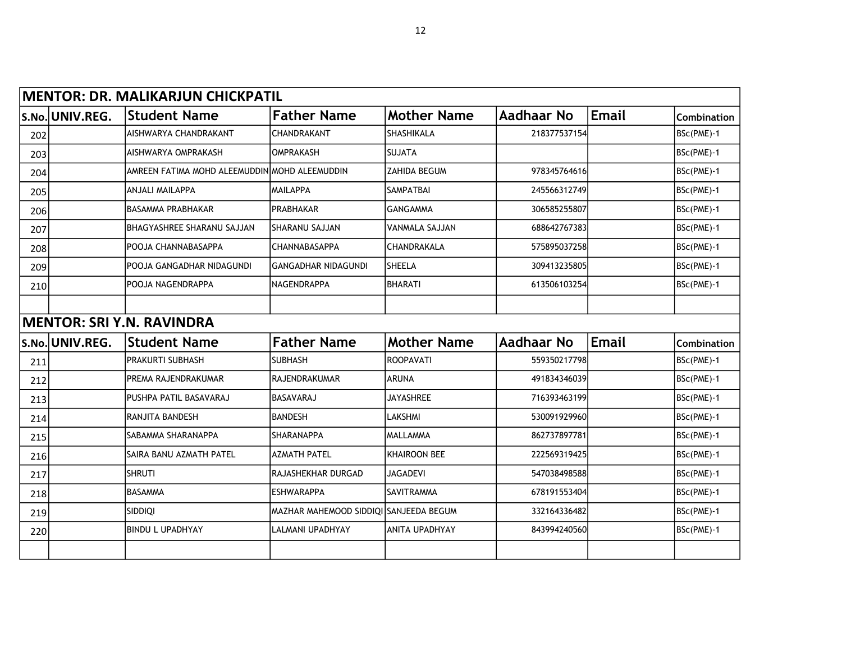|     |                 | <b>MENTOR: DR. MALIKARJUN CHICKPATIL</b>      |                                         |                       |                   |       |             |
|-----|-----------------|-----------------------------------------------|-----------------------------------------|-----------------------|-------------------|-------|-------------|
|     | S.No. UNIV.REG. | <b>Student Name</b>                           | <b>Father Name</b>                      | <b>Mother Name</b>    | <b>Aadhaar No</b> | Email | Combination |
| 202 |                 | AISHWARYA CHANDRAKANT                         | <b>CHANDRAKANT</b>                      | <b>SHASHIKALA</b>     | 218377537154      |       | BSc(PME)-1  |
| 203 |                 | AISHWARYA OMPRAKASH                           | <b>OMPRAKASH</b>                        | <b>SUJATA</b>         |                   |       | BSc(PME)-1  |
| 204 |                 | AMREEN FATIMA MOHD ALEEMUDDIN MOHD ALEEMUDDIN |                                         | ZAHIDA BEGUM          | 978345764616      |       | BSc(PME)-1  |
| 205 |                 | ANJALI MAILAPPA                               | IMAILAPPA                               | <b>SAMPATBAI</b>      | 245566312749      |       | BSc(PME)-1  |
| 206 |                 | <b>BASAMMA PRABHAKAR</b>                      | PRABHAKAR                               | <b>GANGAMMA</b>       | 306585255807      |       | BSc(PME)-1  |
| 207 |                 | BHAGYASHREE SHARANU SAJJAN                    | SHARANU SAJJAN                          | VANMALA SAJJAN        | 688642767383      |       | BSc(PME)-1  |
| 208 |                 | POOJA CHANNABASAPPA                           | CHANNABASAPPA                           | CHANDRAKALA           | 575895037258      |       | BSc(PME)-1  |
| 209 |                 | POOJA GANGADHAR NIDAGUNDI                     | İGANGADHAR NIDAGUNDI                    | <b>SHEELA</b>         | 309413235805      |       | BSc(PME)-1  |
| 210 |                 | POOJA NAGENDRAPPA                             | <b>NAGENDRAPPA</b>                      | <b>BHARATI</b>        | 613506103254      |       | BSc(PME)-1  |
|     |                 |                                               |                                         |                       |                   |       |             |
|     |                 | <b>MENTOR: SRI Y.N. RAVINDRA</b>              |                                         |                       |                   |       |             |
|     | S.No. UNIV.REG. | <b>Student Name</b>                           | <b>Father Name</b>                      | <b>Mother Name</b>    | Aadhaar No        | Email | Combination |
| 211 |                 | PRAKURTI SUBHASH                              | <b>SUBHASH</b>                          | <b>ROOPAVATI</b>      | 559350217798      |       | BSc(PME)-1  |
| 212 |                 | PREMA RAJENDRAKUMAR                           | <b>RAJENDRAKUMAR</b>                    | <b>ARUNA</b>          | 491834346039      |       | BSc(PME)-1  |
| 213 |                 | PUSHPA PATIL BASAVARAJ                        | BASAVARAJ                               | <b>JAYASHREE</b>      | 716393463199      |       | BSc(PME)-1  |
| 214 |                 | RANJITA BANDESH                               | <b>BANDESH</b>                          | <b>LAKSHMI</b>        | 530091929960      |       | BSc(PME)-1  |
| 215 |                 | SABAMMA SHARANAPPA                            | <b>SHARANAPPA</b>                       | <b>MALLAMMA</b>       | 862737897781      |       | BSc(PME)-1  |
| 216 |                 | SAIRA BANU AZMATH PATEL                       | <b>AZMATH PATEL</b>                     | <b>KHAIROON BEE</b>   | 222569319425      |       | BSc(PME)-1  |
| 217 |                 | <b>SHRUTI</b>                                 | lRAJASHEKHAR DURGAD                     | <b>JAGADEVI</b>       | 547038498588      |       | BSc(PME)-1  |
| 218 |                 | <b>BASAMMA</b>                                | leshwarappa                             | <b>SAVITRAMMA</b>     | 678191553404      |       | BSc(PME)-1  |
| 219 |                 | SIDDIQI                                       | lmazhar mahemood Siddioi Sanjeeda Begum |                       | 332164336482      |       | BSc(PME)-1  |
| 220 |                 | <b>BINDU L UPADHYAY</b>                       | <b>LALMANI UPADHYAY</b>                 | <b>ANITA UPADHYAY</b> | 843994240560      |       | BSc(PME)-1  |
|     |                 |                                               |                                         |                       |                   |       |             |